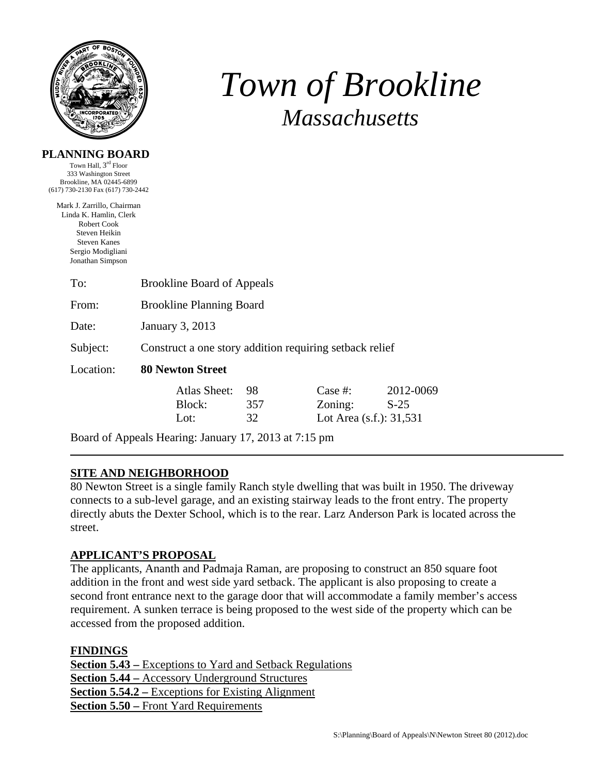

# *Town of Brookline Massachusetts*

### **PLANNING BOARD**

Town Hall, 3rd Floor 333 Washington Street Brookline, MA 02445-6899 (617) 730-2130 Fax (617) 730-2442

Mark J. Zarrillo, Chairman Linda K. Hamlin, Clerk Robert Cook Steven Heikin Steven Kanes Sergio Modigliani Jonathan Simpson

| To:       | <b>Brookline Board of Appeals</b>                       |                 |                                                  |                     |  |  |
|-----------|---------------------------------------------------------|-----------------|--------------------------------------------------|---------------------|--|--|
| From:     | <b>Brookline Planning Board</b>                         |                 |                                                  |                     |  |  |
| Date:     | January 3, 2013                                         |                 |                                                  |                     |  |  |
| Subject:  | Construct a one story addition requiring setback relief |                 |                                                  |                     |  |  |
| Location: | <b>80 Newton Street</b>                                 |                 |                                                  |                     |  |  |
|           | Atlas Sheet:<br>Block:<br>Lot:                          | 98<br>357<br>32 | Case #:<br>Zoning:<br>Lot Area $(s.f.)$ : 31,531 | 2012-0069<br>$S-25$ |  |  |

Board of Appeals Hearing: January 17, 2013 at 7:15 pm

# **SITE AND NEIGHBORHOOD**

80 Newton Street is a single family Ranch style dwelling that was built in 1950. The driveway connects to a sub-level garage, and an existing stairway leads to the front entry. The property directly abuts the Dexter School, which is to the rear. Larz Anderson Park is located across the street.

# **APPLICANT'S PROPOSAL**

The applicants, Ananth and Padmaja Raman, are proposing to construct an 850 square foot addition in the front and west side yard setback. The applicant is also proposing to create a second front entrance next to the garage door that will accommodate a family member's access requirement. A sunken terrace is being proposed to the west side of the property which can be accessed from the proposed addition.

**FINDINGS**

**Section 5.43 –** Exceptions to Yard and Setback Regulations **Section 5.44 –** Accessory Underground Structures **Section 5.54.2 –** Exceptions for Existing Alignment **Section 5.50 –** Front Yard Requirements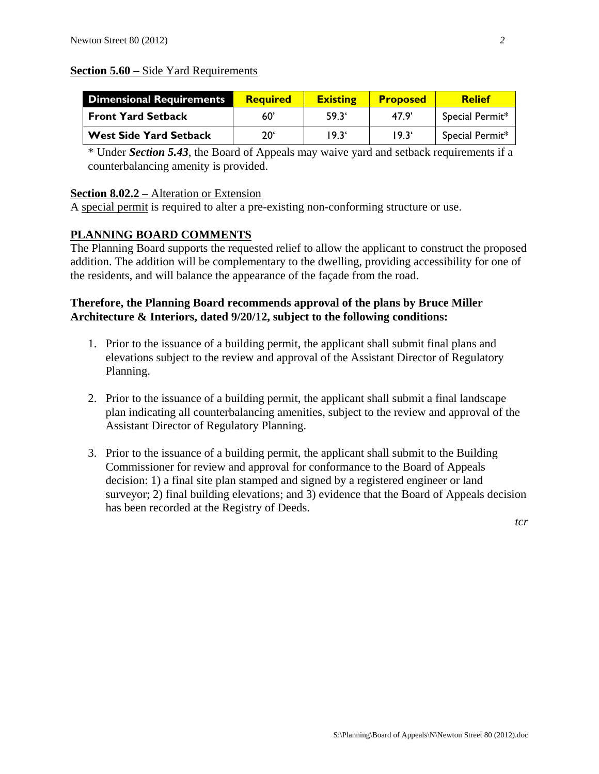#### **Section 5.60 –** Side Yard Requirements

| <b>Dimensional Requirements</b> | <b>Required</b> | <b>Existing</b> | <b>Proposed</b> | <b>Relief</b>   |
|---------------------------------|-----------------|-----------------|-----------------|-----------------|
| <b>Front Yard Setback</b>       | 60              | $59.3^{\circ}$  | 47.9'           | Special Permit* |
| <b>West Side Yard Setback</b>   | 20'             | 19.3'           | $19.3^{\circ}$  | Special Permit* |

\* Under *Section 5.43*, the Board of Appeals may waive yard and setback requirements if a counterbalancing amenity is provided.

#### **Section 8.02.2 –** Alteration or Extension

A special permit is required to alter a pre-existing non-conforming structure or use.

# **PLANNING BOARD COMMENTS**

The Planning Board supports the requested relief to allow the applicant to construct the proposed addition. The addition will be complementary to the dwelling, providing accessibility for one of the residents, and will balance the appearance of the façade from the road.

## **Therefore, the Planning Board recommends approval of the plans by Bruce Miller Architecture & Interiors, dated 9/20/12, subject to the following conditions:**

- 1. Prior to the issuance of a building permit, the applicant shall submit final plans and elevations subject to the review and approval of the Assistant Director of Regulatory Planning.
- 2. Prior to the issuance of a building permit, the applicant shall submit a final landscape plan indicating all counterbalancing amenities, subject to the review and approval of the Assistant Director of Regulatory Planning.
- 3. Prior to the issuance of a building permit, the applicant shall submit to the Building Commissioner for review and approval for conformance to the Board of Appeals decision: 1) a final site plan stamped and signed by a registered engineer or land surveyor; 2) final building elevations; and 3) evidence that the Board of Appeals decision has been recorded at the Registry of Deeds.